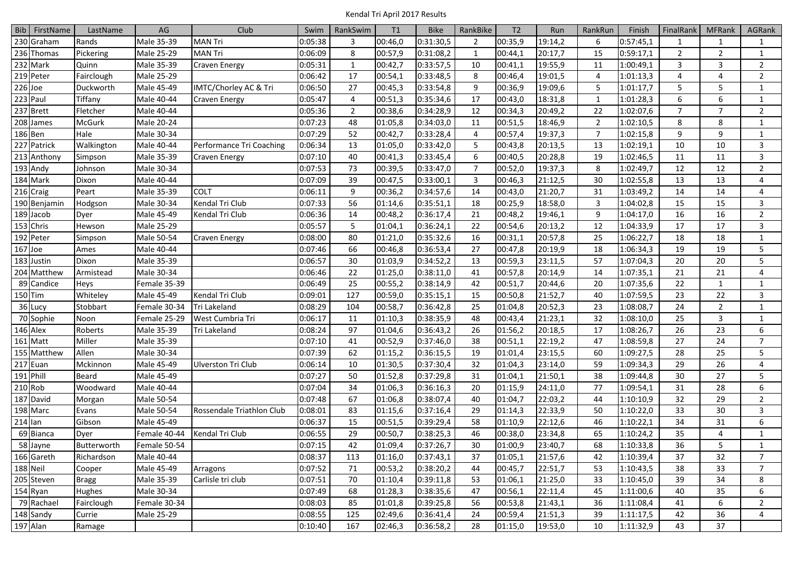|              | Bib FirstName | LastName      | $\mathsf{AG}$ | Club                      | Swim    | RankSwim       | T1      | <b>Bike</b> | RankBike       | T <sub>2</sub> | Run     | RankRun        | Finish    | FinalRank       | <b>MFRank</b>  | AGRank         |
|--------------|---------------|---------------|---------------|---------------------------|---------|----------------|---------|-------------|----------------|----------------|---------|----------------|-----------|-----------------|----------------|----------------|
| 230 Graham   |               | Rands         | Male 35-39    | <b>MAN Tri</b>            | 0:05:38 | 3              | 00:46,0 | 0:31:30,5   | 2              | 00:35,9        | 19:14,2 | 6              | 0:57:45,1 | 1               |                |                |
| 236 Thomas   |               | Pickering     | Male 25-29    | <b>MAN Tri</b>            | 0:06:09 | 8              | 00:57,9 | 0:31:08,2   | $\mathbf{1}$   | 00:44,1        | 20:17,7 | 15             | 0:59:17,1 | $\overline{2}$  | $\overline{2}$ | 1              |
| 232 Mark     |               | Quinn         | Male 35-39    | Craven Energy             | 0:05:31 | 1              | 00:42,7 | 0:33:57,5   | 10             | 00:41,1        | 19:55,9 | 11             | 1:00:49,1 | 3               | 3              | $\overline{2}$ |
| 219 Peter    |               | Fairclough    | Male 25-29    |                           | 0:06:42 | 17             | 00:54,1 | 0:33:48,5   | 8              | 00:46,4        | 19:01,5 | 4              | 1:01:13,3 | 4               | 4              | $\overline{2}$ |
| 226 Joe      |               | Duckworth     | Male 45-49    | IMTC/Chorley AC & Tri     | 0:06:50 | 27             | 00:45,3 | 0:33:54,8   | 9              | 00:36,9        | 19:09,6 | 5              | 1:01:17,7 | 5               | 5              | 1              |
| 223 Paul     |               | Tiffany       | Male 40-44    | Craven Energy             | 0:05:47 | 4              | 00:51,3 | 0:35:34,6   | 17             | 00:43,0        | 18:31,8 | 1              | 1:01:28,3 | 6               | 6              | $\mathbf{1}$   |
| 237<br>Brett |               | Fletcher      | Male 40-44    |                           | 0:05:36 | $\overline{2}$ | 00:38,6 | 0:34:28,9   | 12             | 00:34,3        | 20:49,2 | 22             | 1:02:07,6 | $\overline{7}$  | $\overline{7}$ | $\overline{2}$ |
| 208 James    |               | <b>McGurk</b> | Male 20-24    |                           | 0:07:23 | 48             | 01:05,8 | 0:34:03,0   | 11             | 00:51,5        | 18:46,9 | $\overline{2}$ | 1:02:10,5 | 8               | 8              | $\mathbf{1}$   |
| 186 Ben      |               | Hale          | Male 30-34    |                           | 0:07:29 | 52             | 00:42,7 | 0:33:28,4   | $\overline{4}$ | 00:57,4        | 19:37,3 | $\overline{7}$ | 1:02:15,8 | 9               | 9              | $\mathbf{1}$   |
| 227          | Patrick       | Walkington    | Male 40-44    | Performance Tri Coaching  | 0:06:34 | 13             | 01:05,0 | 0:33:42,0   | 5              | 00:43,8        | 20:13,5 | 13             | 1:02:19,1 | 10              | 10             | 3              |
| 213 Anthony  |               | Simpson       | Male 35-39    | Craven Energy             | 0:07:10 | 40             | 00:41,3 | 0:33:45,4   | 6              | 00:40,5        | 20:28,8 | 19             | 1:02:46,5 | 11              | 11             | 3              |
| 193 Andy     |               | Johnson       | Male 30-34    |                           | 0:07:53 | 73             | 00:39,5 | 0:33:47,0   | $\overline{7}$ | 00:52,0        | 19:37,3 | 8              | 1:02:49,7 | $12\,$          | 12             | $\overline{2}$ |
| 184 Mark     |               | Dixon         | Male 40-44    |                           | 0:07:09 | 39             | 00:47,5 | 0:33:00,1   | 3              | 00:46,3        | 21:12,5 | 30             | 1:02:55,8 | 13              | 13             | 4              |
| 216 Craig    |               | Peart         | Male 35-39    | COLT                      | 0:06:11 | 9              | 00:36,2 | 0:34:57,6   | 14             | 00:43,0        | 21:20,7 | 31             | 1:03:49,2 | 14              | 14             | 4              |
| 190 Benjamin |               | Hodgson       | Male 30-34    | Kendal Tri Club           | 0:07:33 | 56             | 01:14,6 | 0:35:51,1   | 18             | 00:25,9        | 18:58,0 | 3              | 1:04:02,8 | 15              | 15             | 3              |
| 189 Jacob    |               | Dyer          | Male 45-49    | Kendal Tri Club           | 0:06:36 | 14             | 00:48,2 | 0:36:17,4   | 21             | 00:48,2        | 19:46,1 | 9              | 1:04:17,0 | 16              | 16             | $\overline{2}$ |
| 153 Chris    |               | Hewson        | Male 25-29    |                           | 0:05:57 | 5              | 01:04,1 | 0:36:24,1   | 22             | 00:54,6        | 20:13,2 | 12             | 1:04:33,9 | 17              | 17             | 3              |
| 192 Peter    |               | Simpson       | Male 50-54    | Craven Energy             | 0:08:00 | 80             | 01:21,0 | 0:35:32,6   | 16             | 00:31,1        | 20:57,8 | 25             | 1:06:22,7 | 18              | 18             | 1              |
| 167 Joe      |               | Ames          | Male 40-44    |                           | 0:07:46 | 66             | 00:46,8 | 0:36:53,4   | 27             | 00:47,8        | 20:19,9 | 18             | 1:06:34,3 | 19              | 19             | 5              |
| 183 Justin   |               | Dixon         | Male 35-39    |                           | 0:06:57 | 30             | 01:03,9 | 0:34:52,2   | 13             | 00:59,3        | 23:11,5 | 57             | 1:07:04,3 | 20              | 20             | 5              |
| 204 Matthew  |               | Armistead     | Male 30-34    |                           | 0:06:46 | 22             | 01:25,0 | 0:38:11,0   | 41             | 00:57,8        | 20:14,9 | 14             | 1:07:35,1 | 21              | 21             | 4              |
| 89 Candice   |               | Heys          | Female 35-39  |                           | 0:06:49 | 25             | 00:55,2 | 0:38:14,9   | 42             | 00:51,7        | 20:44,6 | 20             | 1:07:35,6 | 22              | 1              | $\mathbf{1}$   |
| 150 Tim      |               | Whiteley      | Male 45-49    | Kendal Tri Club           | 0:09:01 | 127            | 00:59,0 | 0:35:15,1   | 15             | 00:50,8        | 21:52,7 | 40             | 1:07:59,5 | 23              | 22             | 3              |
| 36 Lucy      |               | Stobbart      | Female 30-34  | Tri Lakeland              | 0:08:29 | 104            | 00:58,7 | 0:36:42,8   | 25             | 01:04,8        | 20:52,3 | 23             | 1:08:08,7 | 24              | $\overline{2}$ |                |
| 70 Sophie    |               | Noon          | Female 25-29  | West Cumbria Tri          | 0:06:17 | 11             | 01:10,3 | 0:38:35,9   | 48             | 00:43,4        | 21:23,1 | 32             | 1:08:10,0 | 25              | 3              | $\mathbf{1}$   |
| 146 Alex     |               | Roberts       | Male 35-39    | Tri Lakeland              | 0:08:24 | 97             | 01:04,6 | 0:36:43,2   | 26             | 01:56,2        | 20:18,5 | 17             | 1:08:26,7 | 26              | 23             | 6              |
| 161 Matt     |               | Miller        | Male 35-39    |                           | 0:07:10 | 41             | 00:52,9 | 0:37:46,0   | 38             | 00:51,1        | 22:19,2 | 47             | 1:08:59,8 | 27              | 24             | $\overline{7}$ |
| 155 Matthew  |               | Allen         | Male 30-34    |                           | 0:07:39 | 62             | 01:15,2 | 0:36:15,5   | 19             | 01:01,4        | 23:15,5 | 60             | 1:09:27,5 | 28              | 25             | 5              |
| 217 Euan     |               | Mckinnon      | Male 45-49    | <b>Ulverston Tri Club</b> | 0:06:14 | 10             | 01:30,5 | 0:37:30,4   | 32             | 01:04,3        | 23:14,0 | 59             | 1:09:34,3 | 29              | 26             | 4              |
| 191 Phill    |               | Beard         | Male 45-49    |                           | 0:07:27 | 50             | 01:52,8 | 0:37:29,8   | 31             | 01:04,1        | 21:50,1 | 38             | 1:09:44,8 | 30              | 27             | 5              |
| 210 Rob      |               | Woodward      | Male 40-44    |                           | 0:07:04 | 34             | 01:06,3 | 0:36:16,3   | 20             | 01:15,9        | 24:11,0 | 77             | 1:09:54,1 | 31              | 28             | 6              |
| 187 David    |               | Morgan        | Male 50-54    |                           | 0:07:48 | 67             | 01:06,8 | 0:38:07,4   | 40             | 01:04,7        | 22:03,2 | 44             | 1:10:10,9 | 32              | 29             | $\overline{2}$ |
| 198 Marc     |               | Evans         | Male 50-54    | Rossendale Triathlon Club | 0:08:01 | 83             | 01:15,6 | 0:37:16,4   | 29             | 01:14,3        | 22:33,9 | 50             | 1:10:22,0 | 33              | 30             | 3              |
| 214<br>lan   |               | Gibson        | Male 45-49    |                           | 0:06:37 | 15             | 00:51,5 | 0:39:29,4   | 58             | 01:10,9        | 22:12,6 | 46             | 1:10:22,1 | 34              | 31             | 6              |
| 69 Bianca    |               | Dyer          | Female 40-44  | Kendal Tri Club           | 0:06:55 | 29             | 00:50,7 | 0:38:25,3   | 46             | 00:38,0        | 23:34,8 | 65             | 1:10:24,2 | 35              | 4              | 1              |
| 58 Jayne     |               | Butterworth   | Female 50-54  |                           | 0:07:15 | 42             | 01:09,4 | 0:37:26,7   | 30             | 01:00,9        | 23:40,7 | 68             | 1:10:33,8 | $\overline{36}$ | 5              |                |
| $166$ Gareth |               | Richardson    | Male 40-44    |                           | 0:08:37 | 113            | 01:16,0 | 0:37:43,1   | 37             | 01:05,1        | 21:57,6 | 42             | 1:10:39,4 | 37              | 32             | $\overline{7}$ |
| 188 Neil     |               | Cooper        | Male 45-49    | Arragons                  | 0:07:52 | 71             | 00:53,2 | 0:38:20,2   | 44             | 00:45,7        | 22:51,7 | 53             | 1:10:43,5 | 38              | 33             | $\overline{7}$ |
| 205 Steven   |               | <b>Bragg</b>  | Male 35-39    | Carlisle tri club         | 0:07:51 | 70             | 01:10,4 | 0:39:11,8   | 53             | 01:06,1        | 21:25,0 | 33             | 1:10:45,0 | 39              | 34             | 8              |
| 154 Ryan     |               | Hughes        | Male 30-34    |                           | 0:07:49 | 68             | 01:28,3 | 0:38:35,6   | 47             | 00:56,1        | 22:11,4 | 45             | 1:11:00,6 | 40              | 35             | 6              |
| 79 Rachael   |               | Fairclough    | Female 30-34  |                           | 0:08:03 | 85             | 01:01,8 | 0:39:25,8   | 56             | 00:53,8        | 21:43,1 | 36             | 1:11:08,4 | 41              | 6              | $\overline{2}$ |
| 148 Sandy    |               | Currie        | Male 25-29    |                           | 0:08:55 | 125            | 02:49,6 | 0:36:41,4   | 24             | 00:59,4        | 21:51,3 | 39             | 1:11:17,5 | 42              | 36             | $\overline{4}$ |
| 197 Alan     |               | Ramage        |               |                           | 0:10:40 | 167            | 02:46,3 | 0:36:58,2   | 28             | 01:15,0        | 19:53,0 | 10             | 1:11:32,9 | 43              | 37             |                |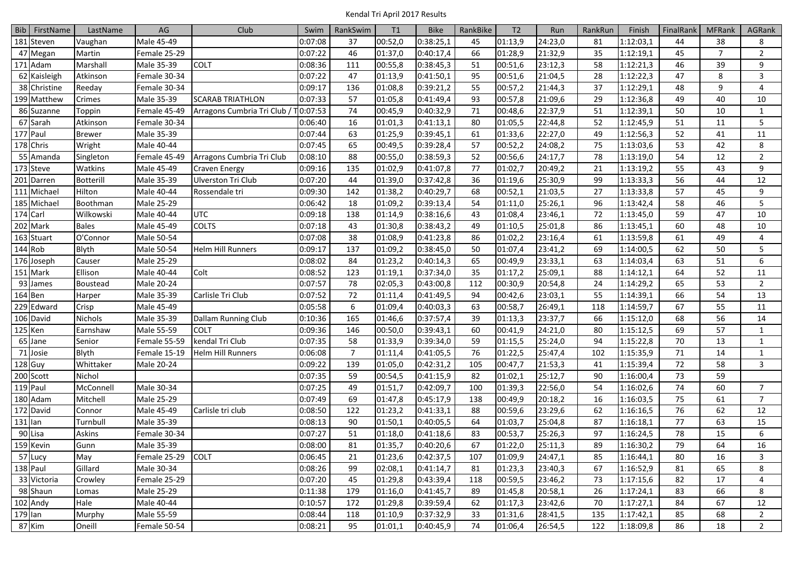|     | Bib FirstName        | LastName         | $\mathsf{AG}$     | Club                      | Swim     | RankSwim       | T <sub>1</sub> | <b>Bike</b> | RankBike | T <sub>2</sub> | Run     | RankRun | Finish    | FinalRank | <b>MFRank</b>  | AGRank         |
|-----|----------------------|------------------|-------------------|---------------------------|----------|----------------|----------------|-------------|----------|----------------|---------|---------|-----------|-----------|----------------|----------------|
|     | 181 Steven           | Vaughan          | Male 45-49        |                           | 0:07:08  | 37             | 00:52,0        | 0:38:25,1   | 45       | 01:13,9        | 24:23,0 | 81      | 1:12:03,1 | 44        | 38             | 8              |
|     | 47 Megan             | Martin           | Female 25-29      |                           | 0:07:22  | 46             | 01:37,0        | 0:40:17,4   | 66       | 01:28,9        | 21:32,9 | 35      | 1:12:19,1 | 45        | $\overline{7}$ | $\overline{2}$ |
|     | 171 Adam             | Marshall         | Male 35-39        | <b>COLT</b>               | 0:08:36  | 111            | 00:55,8        | 0:38:45,3   | 51       | 00:51,6        | 23:12,3 | 58      | 1:12:21,3 | 46        | 39             | 9              |
|     | 62 Kaisleigh         | Atkinson         | Female 30-34      |                           | 0:07:22  | 47             | 01:13,9        | 0:41:50,1   | 95       | 00:51,6        | 21:04,5 | 28      | 1:12:22,3 | 47        | 8              | $\overline{3}$ |
|     | 38 Christine         | Reeday           | Female 30-34      |                           | 0:09:17  | 136            | 01:08,8        | 0:39:21,2   | 55       | 00:57,2        | 21:44,3 | 37      | 1:12:29,1 | 48        | 9              | 4              |
|     | 199 Matthew          | Crimes           | Male 35-39        | <b>SCARAB TRIATHLON</b>   | 0:07:33  | 57             | 01:05,8        | 0:41:49,4   | 93       | 00:57,8        | 21:09,6 | 29      | 1:12:36,8 | 49        | 40             | 10             |
|     | 86 Suzanne           | Toppin           | Female 45-49      | Arragons Cumbria Tri Club | T0:07:53 | 74             | 00:45,9        | 0:40:32,9   | 71       | 00:48,6        | 22:37,9 | 51      | 1:12:39,1 | 50        | 10             | $\mathbf{1}$   |
|     | 67 Sarah             | Atkinson         | Female 30-34      |                           | 0:06:40  | 16             | 01:01,3        | 0:41:13,1   | 80       | 01:05,5        | 22:44,8 | 52      | 1:12:45,9 | 51        | 11             | 5              |
|     | 177 Paul             | <b>Brewer</b>    | Male 35-39        |                           | 0:07:44  | 63             | 01:25,9        | 0:39:45,1   | 61       | 01:33,6        | 22:27,0 | 49      | 1:12:56,3 | 52        | 41             | 11             |
|     | 178 Chris            | Wright           | Male 40-44        |                           | 0:07:45  | 65             | 00:49,5        | 0:39:28,4   | 57       | 00:52,2        | 24:08,2 | 75      | 1:13:03,6 | 53        | 42             | 8              |
|     | 55 Amanda            | Singleton        | Female 45-49      | Arragons Cumbria Tri Club | 0:08:10  | 88             | 00:55,0        | 0:38:59,3   | 52       | 00:56,6        | 24:17,7 | 78      | 1:13:19,0 | 54        | 12             | $\overline{2}$ |
|     | 173 Steve            | Watkins          | Male 45-49        | Craven Energy             | 0:09:16  | 135            | 01:02,9        | 0:41:07,8   | 77       | 01:02,7        | 20:49,2 | 21      | 1:13:19,2 | 55        | 43             | 9              |
|     | 201 Darren           | <b>Botterill</b> | Male 35-39        | <b>Ulverston Tri Club</b> | 0:07:20  | 44             | 01:39,0        | 0:37:42,8   | 36       | 01:19,6        | 25:30,9 | 99      | 1:13:33,3 | 56        | 44             | 12             |
|     | 111 Michael          | Hilton           | Male 40-44        | Rossendale tri            | 0:09:30  | 142            | 01:38,2        | 0:40:29,7   | 68       | 00:52,1        | 21:03,5 | 27      | 1:13:33,8 | 57        | 45             | 9              |
|     | 185 Michael          | Boothman         | Male 25-29        |                           | 0:06:42  | 18             | 01:09,2        | 0:39:13,4   | 54       | 01:11,0        | 25:26,1 | 96      | 1:13:42,4 | 58        | 46             | 5              |
|     | 174 Carl             | Wilkowski        | Male 40-44        | <b>UTC</b>                | 0:09:18  | 138            | 01:14,9        | 0:38:16,6   | 43       | 01:08,4        | 23:46,1 | 72      | 1:13:45,0 | 59        | 47             | 10             |
|     | 202 Mark             | <b>Bales</b>     | Male 45-49        | <b>COLTS</b>              | 0:07:18  | 43             | 01:30,8        | 0:38:43,2   | 49       | 01:10,5        | 25:01,8 | 86      | 1:13:45,1 | 60        | 48             | 10             |
|     | 163 Stuart           | O'Connor         | Male 50-54        |                           | 0:07:08  | 38             | 01:08,9        | 0:41:23,8   | 86       | 01:02,2        | 23:16,4 | 61      | 1:13:59,8 | 61        | 49             | 4              |
|     | 144 Rob              | Blyth            | Male 50-54        | <b>Helm Hill Runners</b>  | 0:09:17  | 137            | 01:09,2        | 0:38:45,0   | 50       | 01:07,4        | 23:41,2 | 69      | 1:14:00,5 | 62        | 50             | 5              |
|     | 176 Joseph           | Causer           | Male 25-29        |                           | 0:08:02  | 84             | 01:23,2        | 0:40:14,3   | 65       | 00:49,9        | 23:33,1 | 63      | 1:14:03,4 | 63        | 51             | 6              |
|     | 151 Mark             | Ellison          | Male 40-44        | Colt                      | 0:08:52  | 123            | 01:19,1        | 0:37:34,0   | 35       | 01:17,2        | 25:09,1 | 88      | 1:14:12,1 | 64        | 52             | 11             |
|     | 93 James             | Boustead         | Male 20-24        |                           | 0:07:57  | 78             | 02:05,3        | 0:43:00,8   | 112      | 00:30,9        | 20:54,8 | 24      | 1:14:29,2 | 65        | 53             | $\overline{2}$ |
|     | 164 Ben              | Harper           | Male 35-39        | Carlisle Tri Club         | 0:07:52  | 72             | 01:11,4        | 0:41:49,5   | 94       | 00:42,6        | 23:03,1 | 55      | 1:14:39,1 | 66        | 54             | 13             |
|     | 229 Edward           | Crisp            | Male 45-49        |                           | 0:05:58  | 6              | 01:09,4        | 0:40:03,3   | 63       | 00:58,7        | 26:49,1 | 118     | 1:14:59,7 | 67        | 55             | 11             |
|     | 106 David            | Nichols          | Male 35-39        | Dallam Running Club       | 0:10:36  | 165            | 01:46,6        | 0:37:57,4   | 39       | 01:13,3        | 23:37,7 | 66      | 1:15:12,0 | 68        | 56             | 14             |
|     | 125 Ken              | Earnshaw         | Male 55-59        | COLT                      | 0:09:36  | 146            | 00:50,0        | 0:39:43,1   | 60       | 00:41,9        | 24:21,0 | 80      | 1:15:12,5 | 69        | 57             | 1              |
|     | 65 Jane              | Senior           | Female 55-59      | kendal Tri Club           | 0:07:35  | 58             | 01:33,9        | 0:39:34,0   | 59       | 01:15,5        | 25:24,0 | 94      | 1:15:22,8 | 70        | 13             | 1              |
|     | 71 Josie             | Blyth            | Female 15-19      | <b>Helm Hill Runners</b>  | 0:06:08  | $\overline{7}$ | 01:11,4        | 0:41:05,5   | 76       | 01:22,5        | 25:47,4 | 102     | 1:15:35,9 | 71        | 14             | 1              |
|     | $128$ Guy            | Whittaker        | Male 20-24        |                           | 0:09:22  | 139            | 01:05,0        | 0:42:31,2   | 105      | 00:47,7        | 21:53,3 | 41      | 1:15:39,4 | 72        | 58             | $\overline{3}$ |
|     | 200 Scott            | Nichol           |                   |                           | 0:07:35  | 59             | 00:54,5        | 0:41:15.9   | 82       | 01:02,1        | 25:12,7 | 90      | 1:16:00,4 | 73        | 59             |                |
|     | 119 Paul             | McConnell        | Male 30-34        |                           | 0:07:25  | 49             | 01:51,7        | 0:42:09,7   | 100      | 01:39,3        | 22:56,0 | 54      | 1:16:02,6 | 74        | 60             | $\overline{7}$ |
|     | 180 Adam             | Mitchell         | Male 25-29        |                           | 0:07:49  | 69             | 01:47,8        | 0:45:17,9   | 138      | 00:49,9        | 20:18,2 | 16      | 1:16:03,5 | 75        | 61             | $\overline{7}$ |
| 172 | David                | Connor           | Male 45-49        | Carlisle tri club         | 0:08:50  | 122            | 01:23,2        | 0:41:33,1   | 88       | 00:59,6        | 23:29,6 | 62      | 1:16:16,5 | 76        | 62             | 12             |
| 131 | lan                  | Turnbull         | Male 35-39        |                           | 0:08:13  | 90             | 01:50,1        | 0:40:05,5   | 64       | 01:03,7        | 25:04,8 | 87      | 1:16:18,1 | 77        | 63             | 15             |
|     | 90 Lisa              | Askins           | Female 30-34      |                           | 0:07:27  | 51             | 01:18,0        | 0:41:18,6   | 83       | 00:53,7        | 25:26,3 | 97      | 1:16:24,5 | 78        | 15             | 6              |
|     | 159 Kevin            | Gunn             | Male 35-39        |                           | 0:08:00  | 81             | 01:35,7        | 0:40:20,6   | 67       | 01:22,0        | 25:11,3 | 89      | 1:16:30,2 | 79        | 64             | 16             |
|     | $\overline{57}$ Lucy | May              | Female 25-29 COLT |                           | 0:06:45  | 21             | 01:23,6        | 0:42:37,5   | 107      | 01:09,9        | 24:47,1 | 85      | 1:16:44,1 | 80        | 16             | 3              |
|     | 138 Paul             | Gillard          | Male 30-34        |                           | 0:08:26  | 99             | 02:08,1        | 0:41:14,7   | 81       | 01:23,3        | 23:40,3 | 67      | 1:16:52,9 | 81        | 65             | 8              |
|     | 33 Victoria          | Crowley          | Female 25-29      |                           | 0:07:20  | 45             | 01:29,8        | 0:43:39,4   | 118      | 00:59,5        | 23:46,2 | 73      | 1:17:15,6 | 82        | 17             | 4              |
|     | 98 Shaun             | Lomas            | Male 25-29        |                           | 0:11:38  | 179            | 01:16,0        | 0:41:45,7   | 89       | 01:45,8        | 20:58,1 | 26      | 1:17:24,1 | 83        | 66             | 8              |
|     | 102 Andy             | Hale             | Male 40-44        |                           | 0:10:57  | 172            | 01:29,8        | 0:39:59,4   | 62       | 01:17,3        | 23:42,6 | 70      | 1:17:27,1 | 84        | 67             | 12             |
|     | 179 Ian              | Murphy           | Male 55-59        |                           | 0:08:44  | 118            | 01:10,9        | 0:37:32,9   | 33       | 01:31,6        | 28:41,5 | 135     | 1:17:42,1 | 85        | 68             | $\overline{2}$ |
|     | 87 Kim               | Oneill           | Female 50-54      |                           | 0:08:21  | 95             | 01:01,1        | 0:40:45,9   | 74       | 01:06,4        | 26:54,5 | 122     | 1:18:09,8 | 86        | 18             | $\overline{2}$ |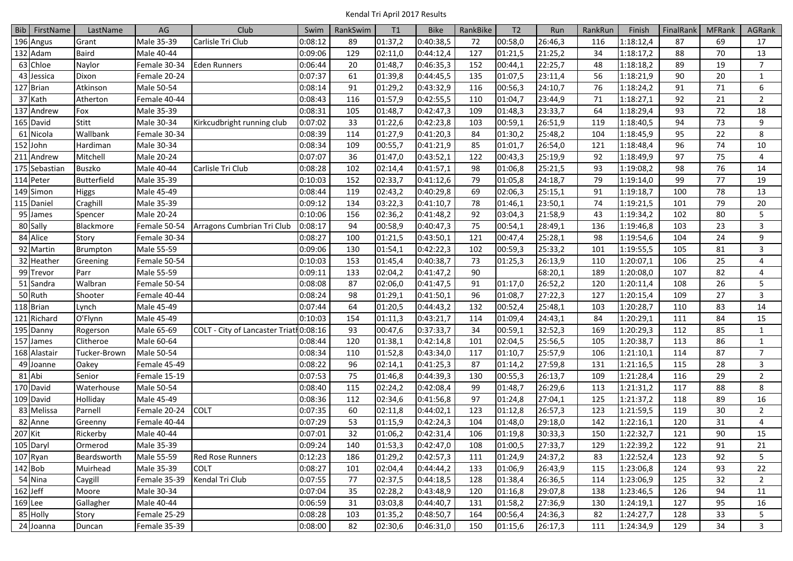|         | Bib FirstName | LastName      | AG           | Club                                    | Swim    | RankSwim | T1      | <b>Bike</b> | RankBike | T <sub>2</sub> | Run     | RankRun | Finish    | FinalRank | <b>MFRank</b> | AGRank         |
|---------|---------------|---------------|--------------|-----------------------------------------|---------|----------|---------|-------------|----------|----------------|---------|---------|-----------|-----------|---------------|----------------|
|         | 196 Angus     | Grant         | Male 35-39   | Carlisle Tri Club                       | 0:08:12 | 89       | 01:37,2 | 0:40:38,5   | 72       | 00:58,0        | 26:46,3 | 116     | 1:18:12,4 | 87        | 69            | 17             |
|         | 132 Adam      | <b>Baird</b>  | Male 40-44   |                                         | 0:09:06 | 129      | 02:11,0 | 0:44:12,4   | 127      | 01:21,5        | 21:25,2 | 34      | 1:18:17,2 | 88        | 70            | 13             |
|         | 63 Chloe      | Naylor        | Female 30-34 | <b>Eden Runners</b>                     | 0:06:44 | 20       | 01:48,7 | 0:46:35,3   | 152      | 00:44,1        | 22:25,7 | 48      | 1:18:18,2 | 89        | 19            | $\overline{7}$ |
|         | 43 Jessica    | Dixon         | Female 20-24 |                                         | 0:07:37 | 61       | 01:39,8 | 0:44:45,5   | 135      | 01:07,5        | 23:11,4 | 56      | 1:18:21,9 | 90        | 20            | $\mathbf{1}$   |
|         | 127 Brian     | Atkinson      | Male 50-54   |                                         | 0:08:14 | 91       | 01:29,2 | 0:43:32,9   | 116      | 00:56,3        | 24:10,7 | 76      | 1:18:24,2 | 91        | 71            | 6              |
|         | 37 Kath       | Atherton      | Female 40-44 |                                         | 0:08:43 | 116      | 01:57,9 | 0:42:55,5   | 110      | 01:04,7        | 23:44,9 | 71      | 1:18:27,1 | 92        | 21            | $\overline{2}$ |
|         | 137 Andrew    | Fox           | Male 35-39   |                                         | 0:08:31 | 105      | 01:48,7 | 0:42:47,3   | 109      | 01:48,3        | 23:33,7 | 64      | 1:18:29,4 | 93        | 72            | 18             |
|         | 165 David     | <b>Stitt</b>  | Male 30-34   | Kirkcudbright running club              | 0:07:02 | 33       | 01:22,6 | 0:42:23,8   | 103      | 00:59,1        | 26:51,9 | 119     | 1:18:40,5 | 94        | 73            | 9              |
|         | 61 Nicola     | Wallbank      | Female 30-34 |                                         | 0:08:39 | 114      | 01:27,9 | 0:41:20,3   | 84       | 01:30,2        | 25:48,2 | 104     | 1:18:45,9 | 95        | 22            | 8              |
|         | 152 John      | Hardiman      | Male 30-34   |                                         | 0:08:34 | 109      | 00:55,7 | 0:41:21,9   | 85       | 01:01,7        | 26:54,0 | 121     | 1:18:48,4 | 96        | 74            | 10             |
| 211     | Andrew        | Mitchell      | Male 20-24   |                                         | 0:07:07 | 36       | 01:47,0 | 0:43:52,1   | 122      | 00:43,3        | 25:19,9 | 92      | 1:18:49,9 | 97        | 75            | 4              |
|         | 175 Sebastian | <b>Buszko</b> | Male 40-44   | Carlisle Tri Club                       | 0:08:28 | 102      | 02:14,4 | 0:41:57,1   | 98       | 01:06,8        | 25:21,5 | 93      | 1:19:08,2 | 98        | 76            | 14             |
|         | 114 Peter     | Butterfield   | Male 35-39   |                                         | 0:10:03 | 152      | 02:33,7 | 0:41:12,6   | 79       | 01:05,8        | 24:18,7 | 79      | 1:19:14,0 | 99        | 77            | 19             |
|         | 149 Simon     | <b>Higgs</b>  | Male 45-49   |                                         | 0:08:44 | 119      | 02:43,2 | 0:40:29,8   | 69       | 02:06,3        | 25:15,1 | 91      | 1:19:18,7 | 100       | 78            | 13             |
|         | 115 Daniel    | Craghill      | Male 35-39   |                                         | 0:09:12 | 134      | 03:22,3 | 0:41:10,7   | 78       | 01:46,1        | 23:50,1 | 74      | 1:19:21,5 | 101       | 79            | 20             |
|         | 95 James      | Spencer       | Male 20-24   |                                         | 0:10:06 | 156      | 02:36,2 | 0:41:48,2   | 92       | 03:04,3        | 21:58,9 | 43      | 1:19:34,2 | 102       | 80            | 5              |
|         | 80 Sally      | Blackmore     | Female 50-54 | Arragons Cumbrian Tri Club              | 0:08:17 | 94       | 00:58,9 | 0:40:47,3   | 75       | 00:54,1        | 28:49,1 | 136     | 1:19:46,8 | 103       | 23            | 3              |
|         | 84 Alice      | Story         | Female 30-34 |                                         | 0:08:27 | 100      | 01:21,5 | 0:43:50,1   | 121      | 00:47,4        | 25:28,1 | 98      | 1:19:54,6 | 104       | 24            | 9              |
|         | 92 Martin     | Brumpton      | Male 55-59   |                                         | 0:09:06 | 130      | 01:54,1 | 0:42:22,3   | 102      | 00:59,3        | 25:33,2 | 101     | 1:19:55,5 | 105       | 81            | $\overline{3}$ |
|         | 32 Heather    | Greening      | Female 50-54 |                                         | 0:10:03 | 153      | 01:45,4 | 0:40:38,7   | 73       | 01:25,3        | 26:13,9 | 110     | 1:20:07,1 | 106       | 25            | 4              |
|         | 99 Trevor     | Parr          | Male 55-59   |                                         | 0:09:11 | 133      | 02:04,2 | 0:41:47,2   | 90       |                | 68:20,1 | 189     | 1:20:08,0 | 107       | 82            | $\overline{4}$ |
|         | 51 Sandra     | Walbran       | Female 50-54 |                                         | 0:08:08 | 87       | 02:06,0 | 0:41:47,5   | 91       | 01:17,0        | 26:52,2 | 120     | 1:20:11,4 | 108       | 26            | 5              |
|         | 50 Ruth       | Shooter       | Female 40-44 |                                         | 0:08:24 | 98       | 01:29,1 | 0:41:50,1   | 96       | 01:08,7        | 27:22,3 | 127     | 1:20:15,4 | 109       | 27            | 3              |
|         | 118 Brian     | Lynch         | Male 45-49   |                                         | 0:07:44 | 64       | 01:20,5 | 0:44:43,2   | 132      | 00:52,4        | 25:48,1 | 103     | 1:20:28,7 | 110       | 83            | 14             |
|         | 121 Richard   | O'Flynn       | Male 45-49   |                                         | 0:10:03 | 154      | 01:11,3 | 0:43:21,7   | 114      | 01:09,4        | 24:43,1 | 84      | 1:20:29,1 | 111       | 84            | 15             |
|         | 195 Danny     | Rogerson      | Male 65-69   | COLT - City of Lancaster Triath 0:08:16 |         | 93       | 00:47,6 | 0:37:33,7   | 34       | 00:59,1        | 32:52,3 | 169     | 1:20:29,3 | 112       | 85            | $\mathbf{1}$   |
| 157     | James         | Clitheroe     | Male 60-64   |                                         | 0:08:44 | 120      | 01:38,1 | 0:42:14,8   | 101      | 02:04,5        | 25:56,5 | 105     | 1:20:38,7 | 113       | 86            | $\mathbf{1}$   |
|         | 168 Alastair  | Tucker-Brown  | Male 50-54   |                                         | 0:08:34 | 110      | 01:52,8 | 0:43:34,0   | 117      | 01:10,7        | 25:57,9 | 106     | 1:21:10,1 | 114       | 87            | $\overline{7}$ |
|         | 49 Joanne     | Oakey         | Female 45-49 |                                         | 0:08:22 | 96       | 02:14,1 | 0:41:25,3   | 87       | 01:14,2        | 27:59,8 | 131     | 1:21:16,5 | 115       | 28            | 3              |
|         | 81 Abi        | Senior        | Female 15-19 |                                         | 0:07:53 | 75       | 01:46,8 | 0:44:39,3   | 130      | 00:55,3        | 26:13,7 | 109     | 1:21:28,4 | 116       | 29            | $\overline{2}$ |
|         | 170 David     | Waterhouse    | Male 50-54   |                                         | 0:08:40 | 115      | 02:24,2 | 0:42:08,4   | 99       | 01:48,7        | 26:29,6 | 113     | 1:21:31,2 | 117       | 88            | 8              |
|         | 109 David     | Holliday      | Male 45-49   |                                         | 0:08:36 | 112      | 02:34,6 | 0:41:56.8   | 97       | 01:24,8        | 27:04,1 | 125     | 1:21:37,2 | 118       | 89            | 16             |
|         | 83 Melissa    | Parnell       | Female 20-24 | <b>COLT</b>                             | 0:07:35 | 60       | 02:11,8 | 0:44:02,1   | 123      | 01:12,8        | 26:57,3 | 123     | 1:21:59,5 | 119       | 30            | $\overline{2}$ |
|         | 82 Anne       | Greenny       | Female 40-44 |                                         | 0:07:29 | 53       | 01:15,9 | 0:42:24,3   | 104      | 01:48,0        | 29:18,0 | 142     | 1:22:16,1 | 120       | 31            | 4              |
| 207 Kit |               | Rickerby      | Male 40-44   |                                         | 0:07:01 | 32       | 01:06,2 | 0:42:31,4   | 106      | 01:19,8        | 30:33,3 | 150     | 1:22:32,7 | 121       | 90            | 15             |
|         | 105 Daryl     | Ormerod       | Male 35-39   |                                         | 0:09:24 | 140      | 01:53,3 | 0:42:47,0   | 108      | 01:00,5        | 27:33,7 | 129     | 1:22:39,2 | 122       | 91            | 21             |
|         | 107 Ryan      | Beardsworth   | Male 55-59   | <b>Red Rose Runners</b>                 | 0:12:23 | 186      | 01:29,2 | 0:42:57,3   | 111      | 01:24,9        | 24:37,2 | 83      | 1:22:52,4 | 123       | 92            | 5              |
|         | 142 Bob       | Muirhead      | Male 35-39   | <b>COLT</b>                             | 0:08:27 | 101      | 02:04,4 | 0:44:44,2   | 133      | 01:06,9        | 26:43,9 | 115     | 1:23:06,8 | 124       | 93            | 22             |
|         | 54 Nina       | Caygill       | Female 35-39 | Kendal Tri Club                         | 0:07:55 | 77       | 02:37,5 | 0:44:18,5   | 128      | 01:38,4        | 26:36,5 | 114     | 1:23:06,9 | 125       | 32            | $\overline{2}$ |
|         | $162$ Jeff    | Moore         | Male 30-34   |                                         | 0:07:04 | 35       | 02:28,2 | 0:43:48,9   | 120      | 01:16,8        | 29:07,8 | 138     | 1:23:46,5 | 126       | 94            | 11             |
|         | 169 Lee       | Gallagher     | Male 40-44   |                                         | 0:06:59 | 31       | 03:03,8 | 0:44:40,7   | 131      | 01:58,2        | 27:36,9 | 130     | 1:24:19,1 | 127       | 95            | 16             |
|         | 85 Holly      | Story         | Female 25-29 |                                         | 0:08:28 | 103      | 01:35,2 | 0:48:50,7   | 164      | 00:56,4        | 24:36,3 | 82      | 1:24:27,7 | 128       | 33            | 5              |
|         | 24 Joanna     | Duncan        | Female 35-39 |                                         | 0:08:00 | 82       | 02:30,6 | 0:46:31,0   | 150      | 01:15,6        | 26:17,3 | 111     | 1:24:34,9 | 129       | 34            | $\overline{3}$ |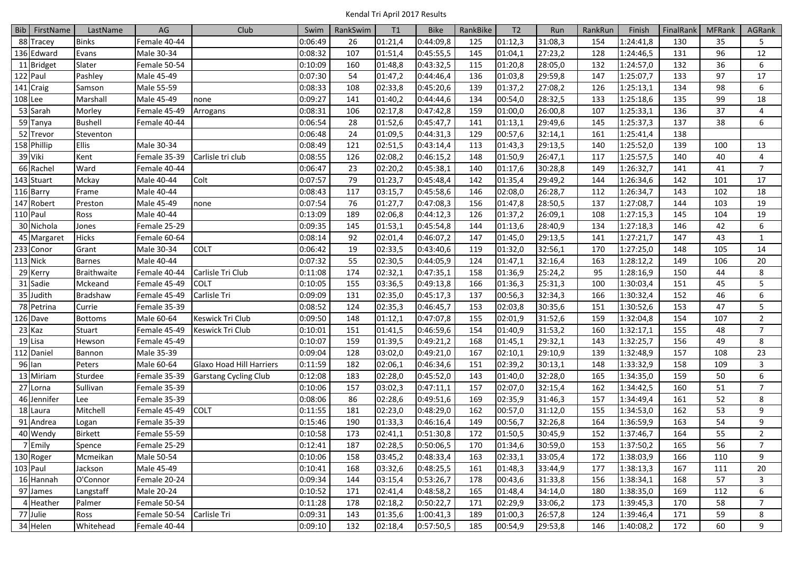|         | Bib FirstName | LastName        | AG           | Club                         | Swim    | RankSwim | T1      | <b>Bike</b> | RankBike | T <sub>2</sub> | Run     | RankRun | Finish    | <b>FinalRank</b> | <b>MFRank</b> | AGRank         |
|---------|---------------|-----------------|--------------|------------------------------|---------|----------|---------|-------------|----------|----------------|---------|---------|-----------|------------------|---------------|----------------|
|         | 88 Tracey     | <b>Binks</b>    | Female 40-44 |                              | 0:06:49 | 26       | 01:21,4 | 0:44:09,8   | 125      | 01:12,3        | 31:08,3 | 154     | 1:24:41,8 | 130              | 35            | 5              |
|         | 136 Edward    | Evans           | Male 30-34   |                              | 0:08:32 | 107      | 01:51,4 | 0:45:55,5   | 145      | 01:04,1        | 27:23,2 | 128     | 1:24:46,5 | 131              | 96            | 12             |
|         | 11 Bridget    | Slater          | Female 50-54 |                              | 0:10:09 | 160      | 01:48,8 | 0:43:32,5   | 115      | 01:20,8        | 28:05,0 | 132     | 1:24:57,0 | 132              | 36            | 6              |
|         | 122 Paul      | Pashley         | Male 45-49   |                              | 0:07:30 | 54       | 01:47,2 | 0:44:46,4   | 136      | 01:03,8        | 29:59,8 | 147     | 1:25:07,7 | 133              | 97            | 17             |
|         | $141$ Craig   | Samson          | Male 55-59   |                              | 0:08:33 | 108      | 02:33,8 | 0:45:20,6   | 139      | 01:37,2        | 27:08,2 | 126     | 1:25:13,1 | 134              | 98            | 6              |
| 108 Lee |               | Marshall        | Male 45-49   | none                         | 0:09:27 | 141      | 01:40,2 | 0:44:44,6   | 134      | 00:54,0        | 28:32,5 | 133     | 1:25:18,6 | 135              | 99            | 18             |
|         | 53 Sarah      | Morley          | Female 45-49 | Arrogans                     | 0:08:31 | 106      | 02:17,8 | 0:47:42,8   | 159      | 01:00,0        | 26:00,8 | 107     | 1:25:33,1 | 136              | 37            | 4              |
|         | 59 Tanya      | <b>Bushell</b>  | Female 40-44 |                              | 0:06:54 | 28       | 01:52,6 | 0:45:47,7   | 141      | 01:13,1        | 29:49,6 | 145     | 1:25:37,3 | 137              | 38            | 6              |
|         | 52 Trevor     | Steventon       |              |                              | 0:06:48 | 24       | 01:09,5 | 0:44:31,3   | 129      | 00:57,6        | 32:14,1 | 161     | 1:25:41,4 | 138              |               |                |
|         | 158 Phillip   | <b>Ellis</b>    | Male 30-34   |                              | 0:08:49 | 121      | 02:51,5 | 0:43:14,4   | 113      | 01:43,3        | 29:13,5 | 140     | 1:25:52,0 | 139              | 100           | 13             |
|         | 39 Viki       | Kent            | Female 35-39 | Carlisle tri club            | 0:08:55 | 126      | 02:08,2 | 0:46:15,2   | 148      | 01:50,9        | 26:47,1 | 117     | 1:25:57,5 | 140              | 40            | $\overline{4}$ |
|         | 66 Rachel     | Ward            | Female 40-44 |                              | 0:06:47 | 23       | 02:20,2 | 0:45:38,1   | 140      | 01:17,6        | 30:28,8 | 149     | 1:26:32,7 | 141              | 41            | $\overline{7}$ |
|         | 143 Stuart    | Mckay           | Male 40-44   | Colt                         | 0:07:57 | 79       | 01:23,7 | 0:45:48,4   | 142      | 01:35,4        | 29:49,2 | 144     | 1:26:34,6 | 142              | 101           | 17             |
|         | 116 Barry     | Frame           | Male 40-44   |                              | 0:08:43 | 117      | 03:15,7 | 0:45:58,6   | 146      | 02:08,0        | 26:28,7 | 112     | 1:26:34,7 | 143              | 102           | 18             |
|         | 147 Robert    | Preston         | Male 45-49   | none                         | 0:07:54 | 76       | 01:27,7 | 0:47:08,3   | 156      | 01:47,8        | 28:50,5 | 137     | 1:27:08,7 | 144              | 103           | 19             |
|         | 110 Paul      | Ross            | Male 40-44   |                              | 0:13:09 | 189      | 02:06,8 | 0:44:12,3   | 126      | 01:37,2        | 26:09,1 | 108     | 1:27:15,3 | 145              | 104           | 19             |
|         | 30 Nichola    | Jones           | Female 25-29 |                              | 0:09:35 | 145      | 01:53,1 | 0:45:54,8   | 144      | 01:13,6        | 28:40,9 | 134     | 1:27:18,3 | 146              | 42            | 6              |
|         | 45 Margaret   | <b>Hicks</b>    | Female 60-64 |                              | 0:08:14 | 92       | 02:01,4 | 0:46:07,2   | 147      | 01:45,0        | 29:13,5 | 141     | 1:27:21,7 | 147              | 43            | $\mathbf{1}$   |
|         | 233 Conor     | Grant           | Male 30-34   | <b>COLT</b>                  | 0:06:42 | 19       | 02:33,5 | 0:43:40,6   | 119      | 01:32,0        | 32:56,1 | 170     | 1:27:25,0 | 148              | 105           | 14             |
|         | 113 Nick      | <b>Barnes</b>   | Male 40-44   |                              | 0:07:32 | 55       | 02:30,5 | 0:44:05,9   | 124      | 01:47,1        | 32:16,4 | 163     | 1:28:12,2 | 149              | 106           | 20             |
|         | 29 Kerry      | Braithwaite     | Female 40-44 | Carlisle Tri Club            | 0:11:08 | 174      | 02:32,1 | 0:47:35,1   | 158      | 01:36,9        | 25:24,2 | 95      | 1:28:16,9 | 150              | 44            | 8              |
|         | 31 Sadie      | Mckeand         | Female 45-49 | <b>COLT</b>                  | 0:10:05 | 155      | 03:36,5 | 0:49:13,8   | 166      | 01:36,3        | 25:31,3 | 100     | 1:30:03,4 | 151              | 45            | 5              |
|         | 35 Judith     | <b>Bradshaw</b> | Female 45-49 | Carlisle Tri                 | 0:09:09 | 131      | 02:35,0 | 0:45:17,3   | 137      | 00:56,3        | 32:34,3 | 166     | 1:30:32,4 | 152              | 46            | 6              |
|         | 78 Petrina    | Currie          | Female 35-39 |                              | 0:08:52 | 124      | 02:35,3 | 0:46:45,7   | 153      | 02:03,8        | 30:35,6 | 151     | 1:30:52,6 | 153              | 47            | 5              |
|         | 126 Dave      | <b>Bottoms</b>  | Male 60-64   | Keswick Tri Club             | 0:09:50 | 148      | 01:12,1 | 0:47:07,8   | 155      | 02:01,9        | 31:52,6 | 159     | 1:32:04,8 | 154              | 107           | $\overline{2}$ |
|         | 23 Kaz        | Stuart          | Female 45-49 | Keswick Tri Club             | 0:10:01 | 151      | 01:41,5 | 0:46:59,6   | 154      | 01:40,9        | 31:53,2 | 160     | 1:32:17,1 | 155              | 48            | $\overline{7}$ |
|         | 19 Lisa       | Hewson          | Female 45-49 |                              | 0:10:07 | 159      | 01:39,5 | 0:49:21,2   | 168      | 01:45,1        | 29:32,1 | 143     | 1:32:25,7 | 156              | 49            | 8              |
|         | 112 Daniel    | Bannon          | Male 35-39   |                              | 0:09:04 | 128      | 03:02,0 | 0:49:21,0   | 167      | 02:10,1        | 29:10,9 | 139     | 1:32:48,9 | 157              | 108           | 23             |
|         | 96 Ian        | Peters          | Male 60-64   | Glaxo Hoad Hill Harriers     | 0:11:59 | 182      | 02:06,1 | 0:46:34,6   | 151      | 02:39,2        | 30:13,1 | 148     | 1:33:32,9 | 158              | 109           | 3              |
|         | 13 Miriam     | Sturdee         | Female 35-39 | <b>Garstang Cycling Club</b> | 0:12:08 | 183      | 02:28,0 | 0:45:52,0   | 143      | 01:40,0        | 32:28,0 | 165     | 1:34:35,0 | 159              | 50            | 6              |
|         | 27 Lorna      | Sullivan        | Female 35-39 |                              | 0:10:06 | 157      | 03:02,3 | 0:47:11,1   | 157      | 02:07,0        | 32:15,4 | 162     | 1:34:42,5 | 160              | 51            | $\overline{7}$ |
|         | 46 Jennifer   | Lee             | Female 35-39 |                              | 0:08:06 | 86       | 02:28,6 | 0:49:51,6   | 169      | 02:35,9        | 31:46,3 | 157     | 1:34:49,4 | 161              | 52            | 8              |
|         | 18 Laura      | Mitchell        | Female 45-49 | <b>COLT</b>                  | 0:11:55 | 181      | 02:23,0 | 0:48:29,0   | 162      | 00:57,0        | 31:12,0 | 155     | 1:34:53,0 | 162              | 53            | 9              |
|         | 91 Andrea     | Logan           | Female 35-39 |                              | 0:15:46 | 190      | 01:33,3 | 0:46:16,4   | 149      | 00:56,7        | 32:26,8 | 164     | 1:36:59,9 | 163              | 54            | 9              |
|         | 40 Wendy      | <b>Birkett</b>  | Female 55-59 |                              | 0:10:58 | 173      | 02:41,1 | 0:51:30,8   | 172      | 01:50,5        | 30:45,9 | 152     | 1:37:46,7 | 164              | 55            | $\overline{2}$ |
|         | 7 Emily       | Spence          | Female 25-29 |                              | 0:12:41 | 187      | 02:28,5 | 0:50:06,5   | 170      | 01:34,6        | 30:59,0 | 153     | 1:37:50,2 | 165              | 56            | $\overline{7}$ |
|         | 130 Roger     | Mcmeikan        | Male 50-54   |                              | 0:10:06 | 158      | 03:45,2 | 0:48:33,4   | 163      | 02:33,1        | 33:05,4 | 172     | 1:38:03,9 | 166              | 110           | 9              |
|         | 103 Paul      | Jackson         | Male 45-49   |                              | 0:10:41 | 168      | 03:32,6 | 0:48:25,5   | 161      | 01:48,3        | 33:44,9 | 177     | 1:38:13,3 | 167              | 111           | 20             |
|         | 16 Hannah     | O'Connor        | Female 20-24 |                              | 0:09:34 | 144      | 03:15,4 | 0:53:26,7   | 178      | 00:43,6        | 31:33,8 | 156     | 1:38:34,1 | 168              | 57            | 3              |
|         | 97 James      | Langstaff       | Male 20-24   |                              | 0:10:52 | 171      | 02:41,4 | 0:48:58,2   | 165      | 01:48,4        | 34:14,0 | 180     | 1:38:35,0 | 169              | 112           | 6              |
|         | 4 Heather     | Palmer          | Female 50-54 |                              | 0:11:28 | 178      | 02:18,2 | 0:50:22,7   | 171      | 02:29,9        | 33:06,2 | 173     | 1:39:45,3 | 170              | 58            | $\overline{7}$ |
|         | 77 Julie      | Ross            | Female 50-54 | Carlisle Tri                 | 0:09:31 | 143      | 01:35,6 | 1:00:41,3   | 189      | 01:00,3        | 26:57,8 | 124     | 1:39:46,4 | 171              | 59            | 8              |
|         | 34 Helen      | Whitehead       | Female 40-44 |                              | 0:09:10 | 132      | 02:18,4 | 0:57:50,5   | 185      | 00:54,9        | 29:53,8 | 146     | 1:40:08,2 | 172              | 60            | 9              |